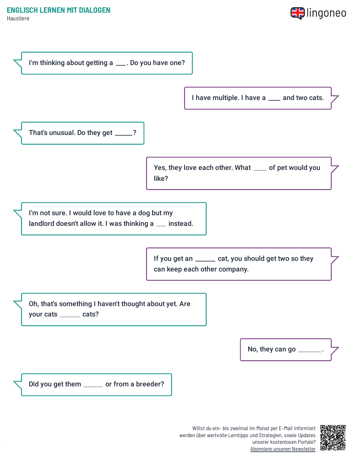Haustiere